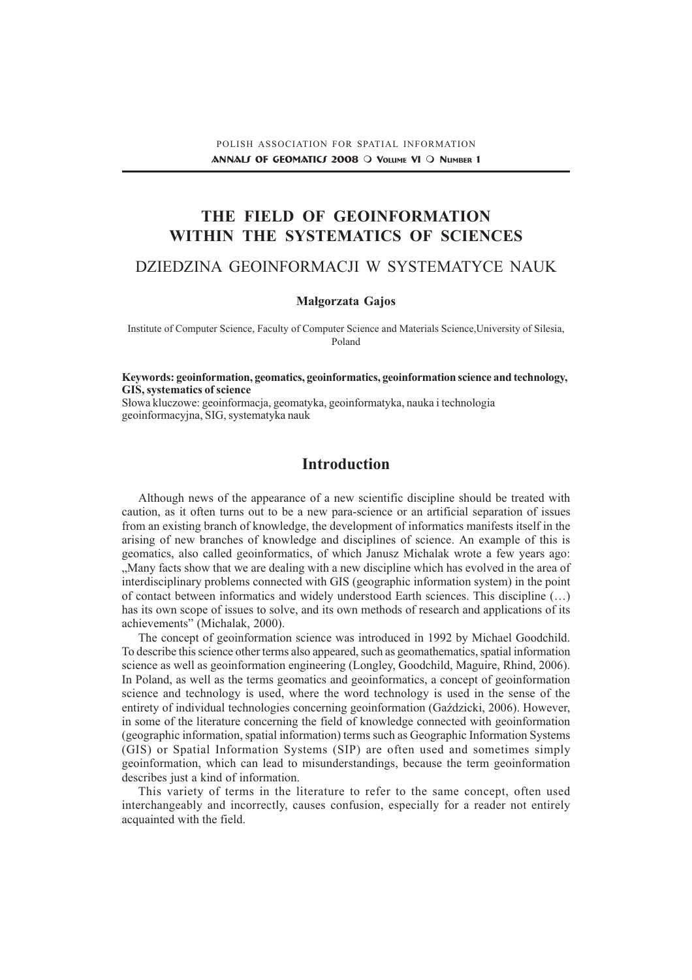# THE FIELD OF GEOINFORMATION WITHIN THE SYSTEMATICS OF SCIENCES

## DZIEDZINA GEOINFORMACJI W SYSTEMATYCE NAUK

## Małgorzata Gajos

Institute of Computer Science, Faculty of Computer Science and Materials Science,University of Silesia, Poland

Keywords: geoinformation, geomatics, geoinformatics, geoinformation science and technology, GIS, systematics of science

Słowa kluczowe: geoinformacja, geomatyka, geoinformatyka, nauka i technologia geoinformacyjna, SIG, systematyka nauk

## **Introduction**

Although news of the appearance of a new scientific discipline should be treated with caution, as it often turns out to be a new para-science or an artificial separation of issues from an existing branch of knowledge, the development of informatics manifests itself in the arising of new branches of knowledge and disciplines of science. An example of this is geomatics, also called geoinformatics, of which Janusz Michalak wrote a few years ago: Many facts show that we are dealing with a new discipline which has evolved in the area of interdisciplinary problems connected with GIS (geographic information system) in the point of contact between informatics and widely understood Earth sciences. This discipline  $(...)$ has its own scope of issues to solve, and its own methods of research and applications of its achievements" (Michalak, 2000).

The concept of geoinformation science was introduced in 1992 by Michael Goodchild. To describe this science other terms also appeared, such as geomathematics, spatial information science as well as geoinformation engineering (Longley, Goodchild, Maguire, Rhind, 2006). In Poland, as well as the terms geomatics and geoinformatics, a concept of geoinformation science and technology is used, where the word technology is used in the sense of the entirety of individual technologies concerning geoinformation (Gazdzicki, 2006). However, in some of the literature concerning the field of knowledge connected with geoinformation (geographic information, spatial information) terms such as Geographic Information Systems (GIS) or Spatial Information Systems (SIP) are often used and sometimes simply geoinformation, which can lead to misunderstandings, because the term geoinformation describes just a kind of information.

This variety of terms in the literature to refer to the same concept, often used interchangeably and incorrectly, causes confusion, especially for a reader not entirely acquainted with the field.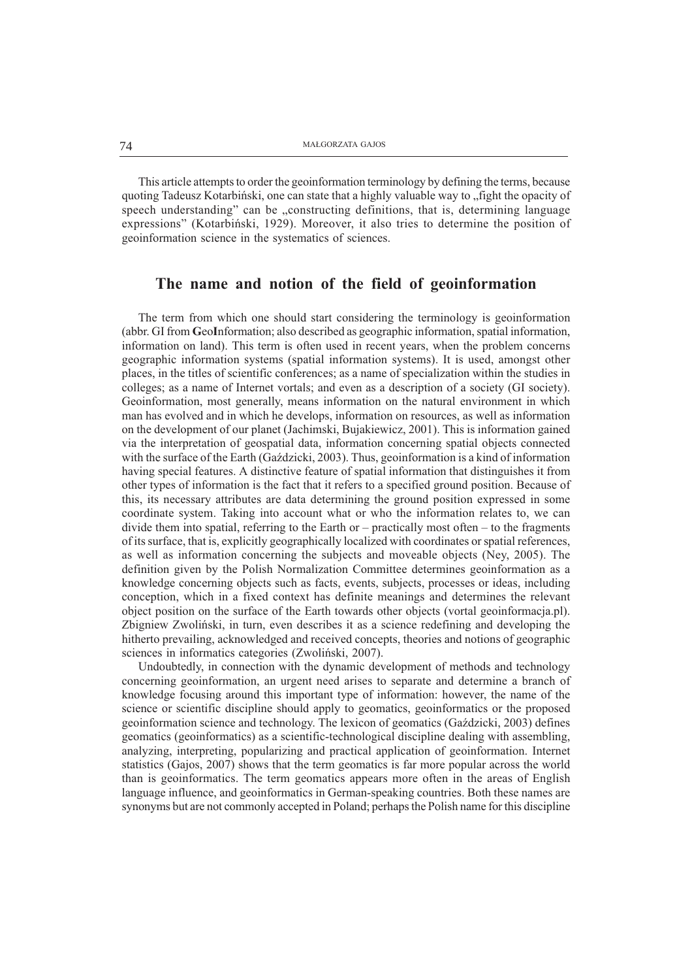This article attempts to order the geoinformation terminology by defining the terms, because quoting Tadeusz Kotarbiński, one can state that a highly valuable way to "fight the opacity of speech understanding" can be "constructing definitions, that is, determining language expressions" (Kotarbiński, 1929). Moreover, it also tries to determine the position of geoinformation science in the systematics of sciences.

## The name and notion of the field of geoinformation

The term from which one should start considering the terminology is geoinformation (abbr. GI from GeoInformation; also described as geographic information, spatial information, information on land). This term is often used in recent years, when the problem concerns geographic information systems (spatial information systems). It is used, amongst other places, in the titles of scientific conferences; as a name of specialization within the studies in colleges; as a name of Internet vortals; and even as a description of a society (GI society). Geoinformation, most generally, means information on the natural environment in which man has evolved and in which he develops, information on resources, as well as information on the development of our planet (Jachimski, Bujakiewicz, 2001). This is information gained via the interpretation of geospatial data, information concerning spatial objects connected with the surface of the Earth (Gaździcki, 2003). Thus, geoinformation is a kind of information having special features. A distinctive feature of spatial information that distinguishes it from other types of information is the fact that it refers to a specified ground position. Because of this, its necessary attributes are data determining the ground position expressed in some coordinate system. Taking into account what or who the information relates to, we can divide them into spatial, referring to the Earth or  $-$  practically most often  $-$  to the fragments of its surface, that is, explicitly geographically localized with coordinates or spatial references, as well as information concerning the subjects and moveable objects (Ney, 2005). The definition given by the Polish Normalization Committee determines geoinformation as a knowledge concerning objects such as facts, events, subjects, processes or ideas, including conception, which in a fixed context has definite meanings and determines the relevant object position on the surface of the Earth towards other objects (vortal geoinformacja.pl). Zbigniew Zwoliñski, in turn, even describes it as a science redefining and developing the hitherto prevailing, acknowledged and received concepts, theories and notions of geographic sciences in informatics categories (Zwoliñski, 2007).

Undoubtedly, in connection with the dynamic development of methods and technology concerning geoinformation, an urgent need arises to separate and determine a branch of knowledge focusing around this important type of information: however, the name of the science or scientific discipline should apply to geomatics, geoinformatics or the proposed geoinformation science and technology. The lexicon of geomatics (Gadzicki, 2003) defines geomatics (geoinformatics) as a scientific-technological discipline dealing with assembling, analyzing, interpreting, popularizing and practical application of geoinformation. Internet statistics (Gajos, 2007) shows that the term geomatics is far more popular across the world than is geoinformatics. The term geomatics appears more often in the areas of English language influence, and geoinformatics in German-speaking countries. Both these names are synonyms but are not commonly accepted in Poland; perhaps the Polish name for this discipline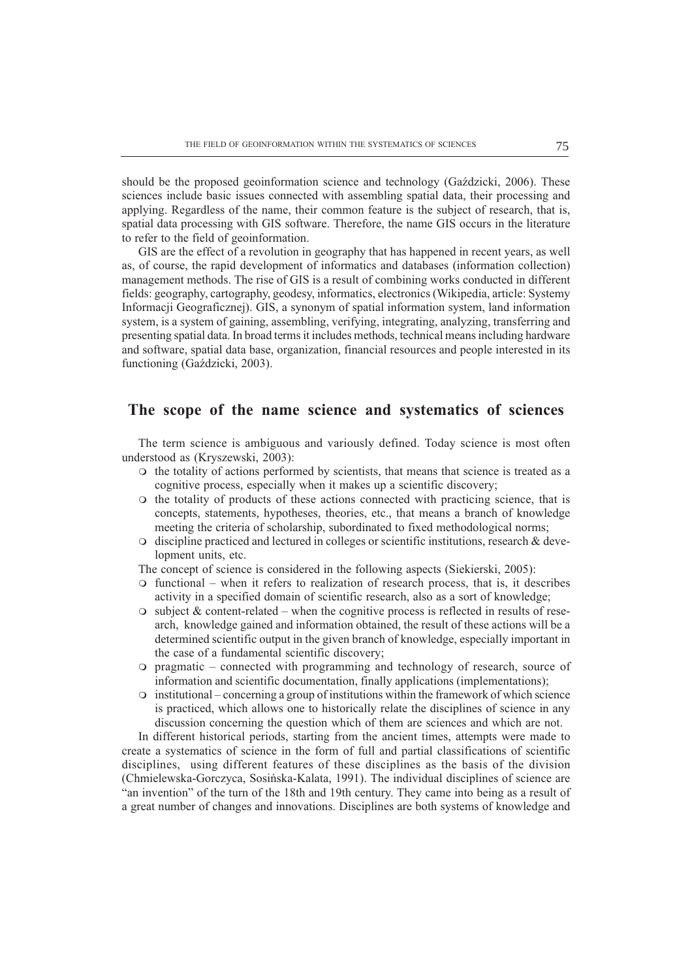should be the proposed geoinformation science and technology (Gazdzicki, 2006). These sciences include basic issues connected with assembling spatial data, their processing and applying. Regardless of the name, their common feature is the subject of research, that is, spatial data processing with GIS software. Therefore, the name GIS occurs in the literature to refer to the field of geoinformation.

GIS are the effect of a revolution in geography that has happened in recent years, as well as, of course, the rapid development of informatics and databases (information collection) management methods. The rise of GIS is a result of combining works conducted in different fields: geography, cartography, geodesy, informatics, electronics (Wikipedia, article: Systemy Informacji Geograficznej). GIS, a synonym of spatial information system, land information system, is a system of gaining, assembling, verifying, integrating, analyzing, transferring and presenting spatial data. In broad terms it includes methods, technical means including hardware and software, spatial data base, organization, financial resources and people interested in its functioning (Gaździcki, 2003).

## The scope of the name science and systematics of sciences

The term science is ambiguous and variously defined. Today science is most often understood as (Kryszewski, 2003):

- $\circ$  the totality of actions performed by scientists, that means that science is treated as a cognitive process, especially when it makes up a scientific discovery;
- $\circ$  the totality of products of these actions connected with practicing science, that is concepts, statements, hypotheses, theories, etc., that means a branch of knowledge meeting the criteria of scholarship, subordinated to fixed methodological norms;
- $\circ$  discipline practiced and lectured in colleges or scientific institutions, research & development units, etc.

The concept of science is considered in the following aspects (Siekierski, 2005):

- $\circ$  functional when it refers to realization of research process, that is, it describes activity in a specified domain of scientific research, also as a sort of knowledge;
- $\circ$  subject & content-related when the cognitive process is reflected in results of research, knowledge gained and information obtained, the result of these actions will be a determined scientific output in the given branch of knowledge, especially important in the case of a fundamental scientific discovery;
- $\circ$  pragmatic connected with programming and technology of research, source of information and scientific documentation, finally applications (implementations);
- $\circ$  institutional concerning a group of institutions within the framework of which science is practiced, which allows one to historically relate the disciplines of science in any discussion concerning the question which of them are sciences and which are not.

In different historical periods, starting from the ancient times, attempts were made to create a systematics of science in the form of full and partial classifications of scientific disciplines, using different features of these disciplines as the basis of the division (Chmielewska-Gorczyca, Sosiñska-Kalata, 1991). The individual disciplines of science are "an invention" of the turn of the 18th and 19th century. They came into being as a result of a great number of changes and innovations. Disciplines are both systems of knowledge and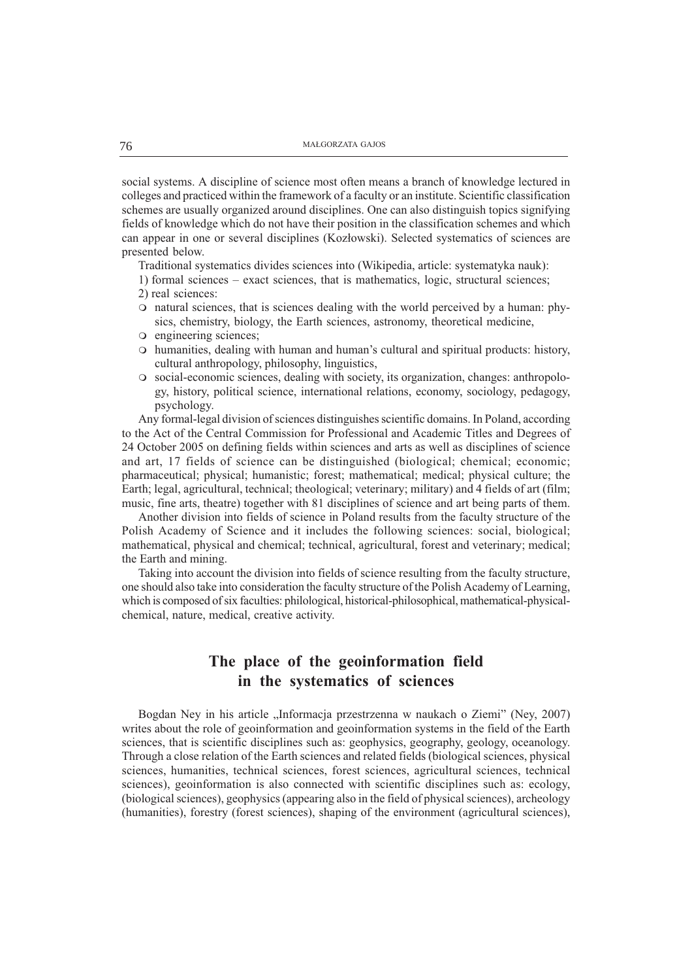social systems. A discipline of science most often means a branch of knowledge lectured in colleges and practiced within the framework of a faculty or an institute. Scientific classification schemes are usually organized around disciplines. One can also distinguish topics signifying fields of knowledge which do not have their position in the classification schemes and which can appear in one or several disciplines (Kozłowski). Selected systematics of sciences are presented below.

Traditional systematics divides sciences into (Wikipedia, article: systematyka nauk):

- 1) formal sciences exact sciences, that is mathematics, logic, structural sciences; 2) real sciences:
- 
- m natural sciences, that is sciences dealing with the world perceived by a human: physics, chemistry, biology, the Earth sciences, astronomy, theoretical medicine,
- $\circ$  engineering sciences;
- $\circ$  humanities, dealing with human and human's cultural and spiritual products: history, cultural anthropology, philosophy, linguistics,
- m social-economic sciences, dealing with society, its organization, changes: anthropology, history, political science, international relations, economy, sociology, pedagogy, psychology.

Any formal-legal division of sciences distinguishes scientific domains. In Poland, according to the Act of the Central Commission for Professional and Academic Titles and Degrees of 24 October 2005 on defining fields within sciences and arts as well as disciplines of science and art, 17 fields of science can be distinguished (biological; chemical; economic; pharmaceutical; physical; humanistic; forest; mathematical; medical; physical culture; the Earth; legal, agricultural, technical; theological; veterinary; military) and 4 fields of art (film; music, fine arts, theatre) together with 81 disciplines of science and art being parts of them.

Another division into fields of science in Poland results from the faculty structure of the Polish Academy of Science and it includes the following sciences: social, biological; mathematical, physical and chemical; technical, agricultural, forest and veterinary; medical; the Earth and mining.

Taking into account the division into fields of science resulting from the faculty structure, one should also take into consideration the faculty structure of the Polish Academy of Learning, which is composed of six faculties: philological, historical-philosophical, mathematical-physicalchemical, nature, medical, creative activity.

# The place of the geoinformation field in the systematics of sciences

Bogdan Ney in his article "Informacja przestrzenna w naukach o Ziemi" (Ney, 2007) writes about the role of geoinformation and geoinformation systems in the field of the Earth sciences, that is scientific disciplines such as: geophysics, geography, geology, oceanology. Through a close relation of the Earth sciences and related fields (biological sciences, physical sciences, humanities, technical sciences, forest sciences, agricultural sciences, technical sciences), geoinformation is also connected with scientific disciplines such as: ecology, (biological sciences), geophysics (appearing also in the field of physical sciences), archeology (humanities), forestry (forest sciences), shaping of the environment (agricultural sciences),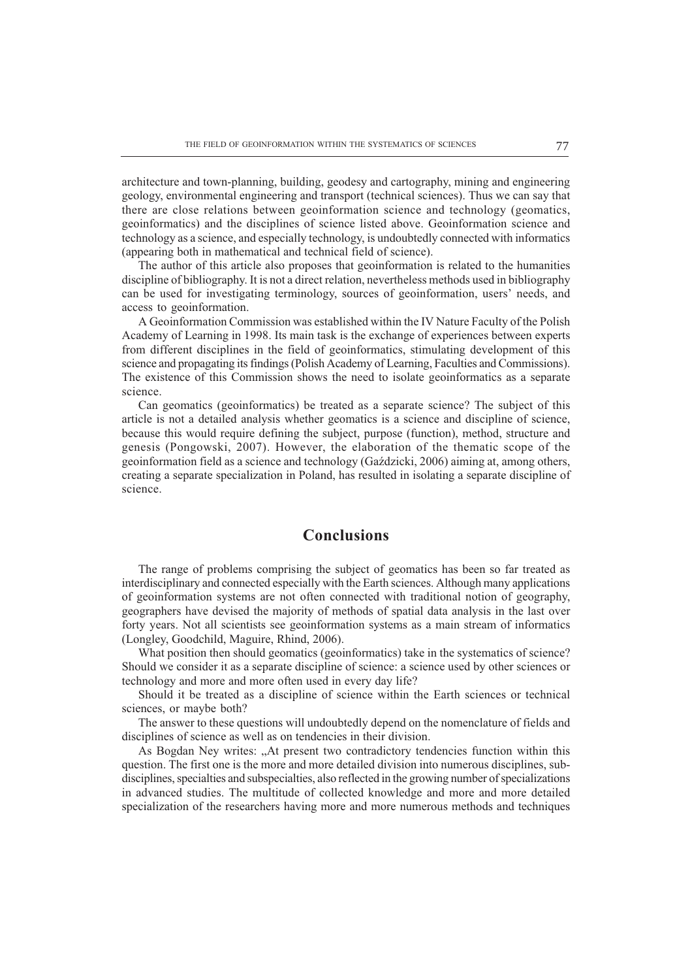architecture and town-planning, building, geodesy and cartography, mining and engineering geology, environmental engineering and transport (technical sciences). Thus we can say that there are close relations between geoinformation science and technology (geomatics, geoinformatics) and the disciplines of science listed above. Geoinformation science and technology as a science, and especially technology, is undoubtedly connected with informatics (appearing both in mathematical and technical field of science).

The author of this article also proposes that geoinformation is related to the humanities discipline of bibliography. It is not a direct relation, nevertheless methods used in bibliography can be used for investigating terminology, sources of geoinformation, users' needs, and access to geoinformation.

A Geoinformation Commission was established within the IV Nature Faculty of the Polish Academy of Learning in 1998. Its main task is the exchange of experiences between experts from different disciplines in the field of geoinformatics, stimulating development of this science and propagating its findings (Polish Academy of Learning, Faculties and Commissions). The existence of this Commission shows the need to isolate geoinformatics as a separate science.

Can geomatics (geoinformatics) be treated as a separate science? The subject of this article is not a detailed analysis whether geomatics is a science and discipline of science, because this would require defining the subject, purpose (function), method, structure and genesis (Pongowski, 2007). However, the elaboration of the thematic scope of the geoinformation field as a science and technology (Gadzicki, 2006) aiming at, among others, creating a separate specialization in Poland, has resulted in isolating a separate discipline of science.

## Conclusions

The range of problems comprising the subject of geomatics has been so far treated as interdisciplinary and connected especially with the Earth sciences. Although many applications of geoinformation systems are not often connected with traditional notion of geography, geographers have devised the majority of methods of spatial data analysis in the last over forty years. Not all scientists see geoinformation systems as a main stream of informatics (Longley, Goodchild, Maguire, Rhind, 2006).

What position then should geomatics (geoinformatics) take in the systematics of science? Should we consider it as a separate discipline of science: a science used by other sciences or technology and more and more often used in every day life?

Should it be treated as a discipline of science within the Earth sciences or technical sciences, or maybe both?

The answer to these questions will undoubtedly depend on the nomenclature of fields and disciplines of science as well as on tendencies in their division.

As Bogdan Ney writes: At present two contradictory tendencies function within this question. The first one is the more and more detailed division into numerous disciplines, subdisciplines, specialties and subspecialties, also reflected in the growing number of specializations in advanced studies. The multitude of collected knowledge and more and more detailed specialization of the researchers having more and more numerous methods and techniques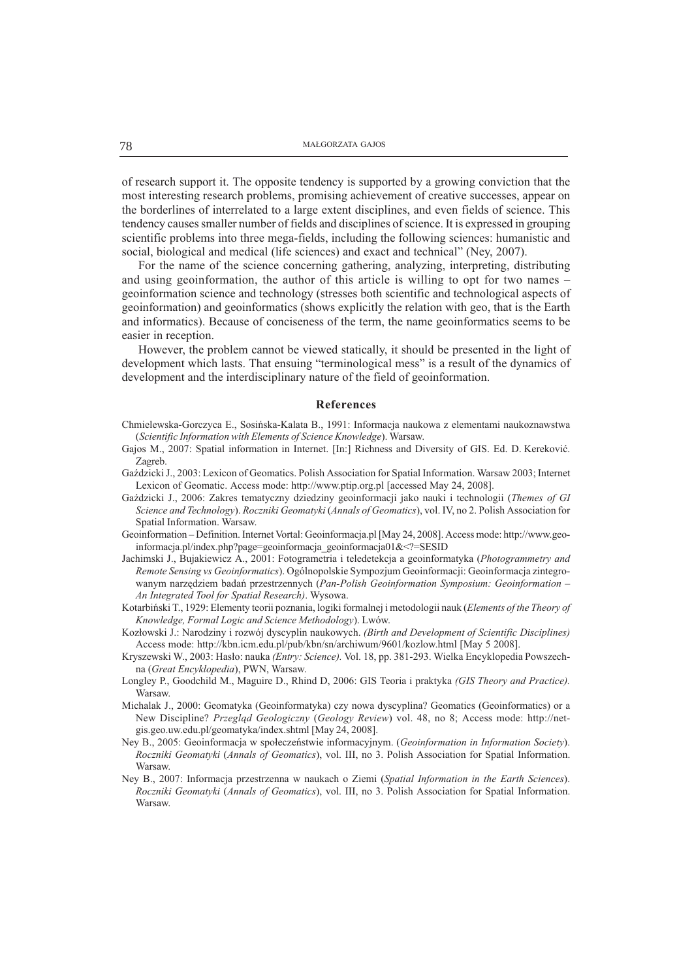of research support it. The opposite tendency is supported by a growing conviction that the most interesting research problems, promising achievement of creative successes, appear on the borderlines of interrelated to a large extent disciplines, and even fields of science. This tendency causes smaller number of fields and disciplines of science. It is expressed in grouping scientific problems into three mega-fields, including the following sciences: humanistic and social, biological and medical (life sciences) and exact and technical" (Ney, 2007).

For the name of the science concerning gathering, analyzing, interpreting, distributing and using geoinformation, the author of this article is willing to opt for two names – geoinformation science and technology (stresses both scientific and technological aspects of geoinformation) and geoinformatics (shows explicitly the relation with geo, that is the Earth and informatics). Because of conciseness of the term, the name geoinformatics seems to be easier in reception.

However, the problem cannot be viewed statically, it should be presented in the light of development which lasts. That ensuing "terminological mess" is a result of the dynamics of development and the interdisciplinary nature of the field of geoinformation.

### References

- Chmielewska-Gorczyca E., Sosiñska-Kalata B., 1991: Informacja naukowa z elementami naukoznawstwa (Scientific Information with Elements of Science Knowledge). Warsaw.
- Gajos M., 2007: Spatial information in Internet. [In:] Richness and Diversity of GIS. Ed. D. Kereković. Zagreb.
- Gaździcki J., 2003: Lexicon of Geomatics. Polish Association for Spatial Information. Warsaw 2003; Internet Lexicon of Geomatic. Access mode: http://www.ptip.org.pl [accessed May 24, 2008].
- Gaździcki J., 2006: Zakres tematyczny dziedziny geoinformacji jako nauki i technologii (Themes of GI Science and Technology). Roczniki Geomatyki (Annals of Geomatics), vol. IV, no 2. Polish Association for Spatial Information. Warsaw.
- Geoinformation Definition. Internet Vortal: Geoinformacja.pl [May 24, 2008]. Access mode: http://www.geoinformacja.pl/index.php?page=geoinformacja\_geoinformacja01&<?=SESID
- Jachimski J., Bujakiewicz A., 2001: Fotogrametria i teledetekcja a geoinformatyka (Photogrammetry and Remote Sensing vs Geoinformatics). Ogólnopolskie Sympozjum Geoinformacji: Geoinformacja zintegrowanym narzędziem badań przestrzennych (Pan-Polish Geoinformation Symposium: Geoinformation -An Integrated Tool for Spatial Research). Wysowa.
- Kotarbiñski T., 1929: Elementy teorii poznania, logiki formalnej i metodologii nauk (Elements of the Theory of Knowledge, Formal Logic and Science Methodology). Lwów.
- Kozłowski J.: Narodziny i rozwój dyscyplin naukowych. (Birth and Development of Scientific Disciplines) Access mode: http://kbn.icm.edu.pl/pub/kbn/sn/archiwum/9601/kozlow.html [May 5 2008].
- Kryszewski W., 2003: Hasło: nauka (Entry: Science). Vol. 18, pp. 381-293. Wielka Encyklopedia Powszechna (Great Encyklopedia), PWN, Warsaw.
- Longley P., Goodchild M., Maguire D., Rhind D, 2006: GIS Teoria i praktyka (GIS Theory and Practice). Warsaw.
- Michalak J., 2000: Geomatyka (Geoinformatyka) czy nowa dyscyplina? Geomatics (Geoinformatics) or a New Discipline? Przegląd Geologiczny (Geology Review) vol. 48, no 8; Access mode: http://netgis.geo.uw.edu.pl/geomatyka/index.shtml [May 24, 2008].
- Ney B., 2005: Geoinformacja w społeczeństwie informacyjnym. (Geoinformation in Information Society). Roczniki Geomatyki (Annals of Geomatics), vol. III, no 3. Polish Association for Spatial Information. Warsaw.
- Ney B., 2007: Informacja przestrzenna w naukach o Ziemi (Spatial Information in the Earth Sciences). Roczniki Geomatyki (Annals of Geomatics), vol. III, no 3. Polish Association for Spatial Information. Warsaw.